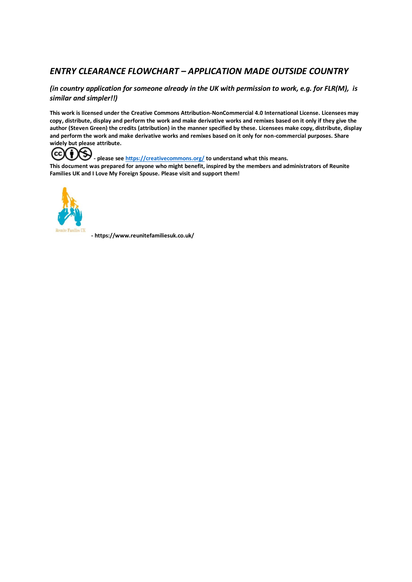# *ENTRY CLEARANCE FLOWCHART – APPLICATION MADE OUTSIDE COUNTRY*

# *(in country application for someone already in the UK with permission to work, e.g. for FLR(M), is similar and simpler!!)*

**This work is licensed under the Creative Commons Attribution-NonCommercial 4.0 International License. Licensees may copy, distribute, display and perform the work and make derivative works and remixes based on it only if they give the author (Steven Green) the credits (attribution) in the manner specified by these. Licensees make copy, distribute, display and perform the work and make derivative works and remixes based on it only for non-commercial purposes. Share widely but please attribute.**



**- please se[e https://creativecommons.org/](https://creativecommons.org/) to understand what this means. This document was prepared for anyone who might benefit, inspired by the members and administrators of Reunite Families UK and I Love My Foreign Spouse. Please visit and support them!** 



**- https://www.reunitefamiliesuk.co.uk/**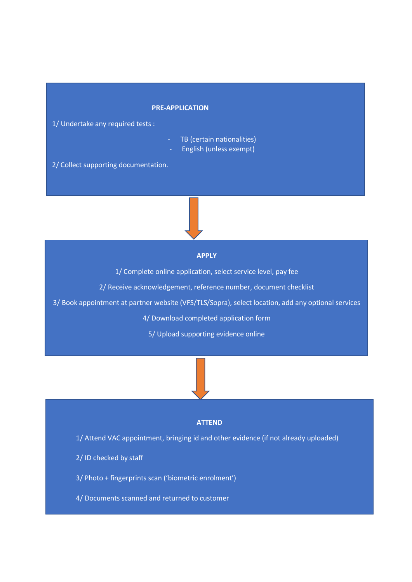#### **PRE-APPLICATION**

1/ Undertake any required tests :

- TB (certain nationalities)
	- English (unless exempt)

2/ Collect supporting documentation.

# **APPLY**

1/ Complete online application, select service level, pay fee

2/ Receive acknowledgement, reference number, document checklist

3/ Book appointment at partner website (VFS/TLS/Sopra), select location, add any optional services

4/ Download completed application form

5/ Upload supporting evidence online

#### **ATTEND**

- 1/ Attend VAC appointment, bringing id and other evidence (if not already uploaded)
- 2/ ID checked by staff
- 3/ Photo + fingerprints scan ('biometric enrolment')
- 4/ Documents scanned and returned to customer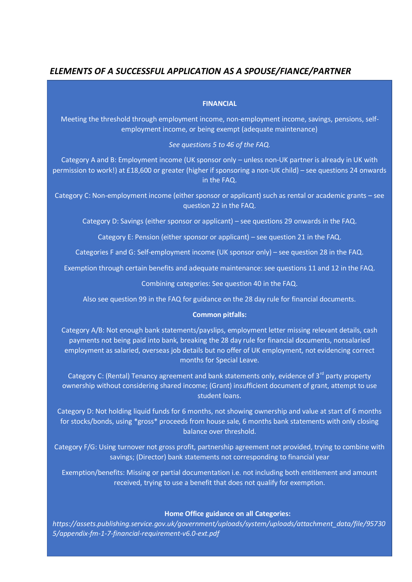# *ELEMENTS OF A SUCCESSFUL APPLICATION AS A SPOUSE/FIANCE/PARTNER*

# **FINANCIAL**

Meeting the threshold through employment income, non-employment income, savings, pensions, selfemployment income, or being exempt (adequate maintenance)

### *See questions 5 to 46 of the FAQ.*

Category A and B: Employment income (UK sponsor only – unless non-UK partner is already in UK with permission to work!) at £18,600 or greater (higher if sponsoring a non-UK child) – see questions 24 onwards in the FAQ.

Category C: Non-employment income (either sponsor or applicant) such as rental or academic grants – see question 22 in the FAQ.

Category D: Savings (either sponsor or applicant) – see questions 29 onwards in the FAQ.

Category E: Pension (either sponsor or applicant) – see question 21 in the FAQ.

Categories F and G: Self-employment income (UK sponsor only) – see question 28 in the FAQ.

Exemption through certain benefits and adequate maintenance: see questions 11 and 12 in the FAQ.

Combining categories: See question 40 in the FAQ.

Also see question 99 in the FAQ for guidance on the 28 day rule for financial documents.

# **Common pitfalls:**

Category A/B: Not enough bank statements/payslips, employment letter missing relevant details, cash payments not being paid into bank, breaking the 28 day rule for financial documents, nonsalaried employment as salaried, overseas job details but no offer of UK employment, not evidencing correct months for Special Leave.

Category C: (Rental) Tenancy agreement and bank statements only, evidence of 3<sup>rd</sup> party property ownership without considering shared income; (Grant) insufficient document of grant, attempt to use student loans.

Category D: Not holding liquid funds for 6 months, not showing ownership and value at start of 6 months for stocks/bonds, using \*gross\* proceeds from house sale, 6 months bank statements with only closing balance over threshold.

Category F/G: Using turnover not gross profit, partnership agreement not provided, trying to combine with savings; (Director) bank statements not corresponding to financial year

Exemption/benefits: Missing or partial documentation i.e. not including both entitlement and amount received, trying to use a benefit that does not qualify for exemption.

# **Home Office guidance on all Categories:**

*https://assets.publishing.service.gov.uk/government/uploads/system/uploads/attachment\_data/file/95730 5/appendix-fm-1-7-financial-requirement-v6.0-ext.pdf*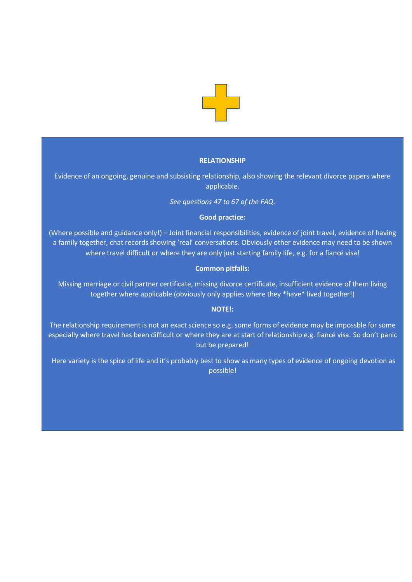

#### **RELATIONSHIP**

Evidence of an ongoing, genuine and subsisting relationship, also showing the relevant divorce papers where applicable.

*See questions 47 to 67 of the FAQ.*

#### **Good practice:**

(Where possible and guidance only!) – Joint financial responsibilities, evidence of joint travel, evidence of having a family together, chat records showing 'real' conversations. Obviously other evidence may need to be shown where travel difficult or where they are only just starting family life, e.g. for a fiancé visa!

# **Common pitfalls:**

Missing marriage or civil partner certificate, missing divorce certificate, insufficient evidence of them living together where applicable (obviously only applies where they \*have\* lived together!)

# **NOTE!:**

The relationship requirement is not an exact science so e.g. some forms of evidence may be impossble for some especially where travel has been difficult or where they are at start of relationship e.g. fiancé visa. So don't panic but be prepared!

Here variety is the spice of life and it's probably best to show as many types of evidence of ongoing devotion as possible!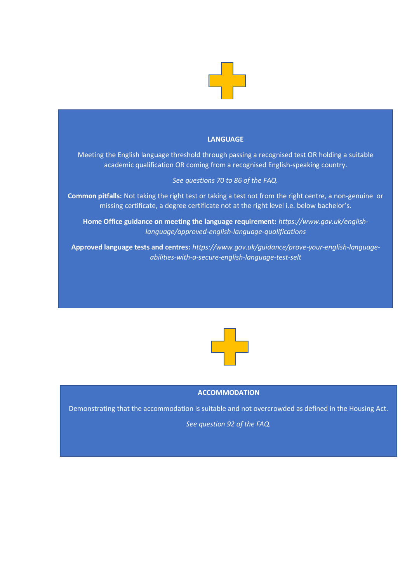

# **LANGUAGE**

Meeting the English language threshold through passing a recognised test OR holding a suitable academic qualification OR coming from a recognised English-speaking country.

# *See questions 70 to 86 of the FAQ.*

**Common pitfalls:** Not taking the right test or taking a test not from the right centre, a non-genuine or missing certificate, a degree certificate not at the right level i.e. below bachelor's.

**Home Office guidance on meeting the language requirement:** *https://www.gov.uk/englishlanguage/approved-english-language-qualifications*

**Approved language tests and centres:** *https://www.gov.uk/guidance/prove-your-english-languageabilities-with-a-secure-english-language-test-selt*



### **ACCOMMODATION**

Demonstrating that the accommodation is suitable and not overcrowded as defined in the Housing Act.

*See question 92 of the FAQ.*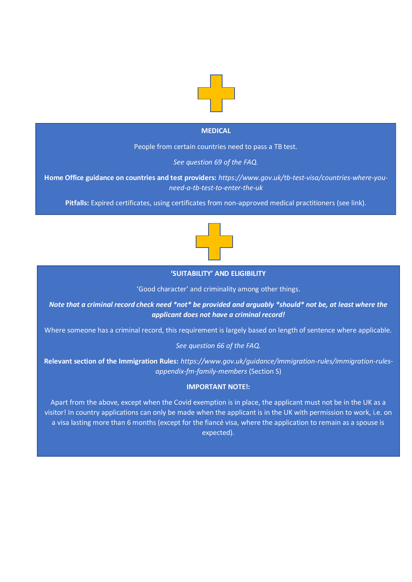

# **MEDICAL**

People from certain countries need to pass a TB test.

*See question 69 of the FAQ.*

**Home Office guidance on countries and test providers:** *https://www.gov.uk/tb-test-visa/countries-where-youneed-a-tb-test-to-enter-the-uk*

**Pitfalls:** Expired certificates, using certificates from non-approved medical practitioners (see link).



#### **'SUITABILITY' AND ELIGIBILITY**

'Good character' and criminality among other things.

*Note that a criminal record check need \*not\* be provided and arguably \*should\* not be, at least where the applicant does not have a criminal record!*

Where someone has a criminal record, this requirement is largely based on length of sentence where applicable.

*See question 66 of the FAQ.*

**Relevant section of the Immigration Rules:** *https://www.gov.uk/guidance/immigration-rules/immigration-rulesappendix-fm-family-members* (Section S)

# **IMPORTANT NOTE!:**

Apart from the above, except when the Covid exemption is in place, the applicant must not be in the UK as a visitor! In country applications can only be made when the applicant is in the UK with permission to work, i.e. on a visa lasting more than 6 months (except for the fiancé visa, where the application to remain as a spouse is expected).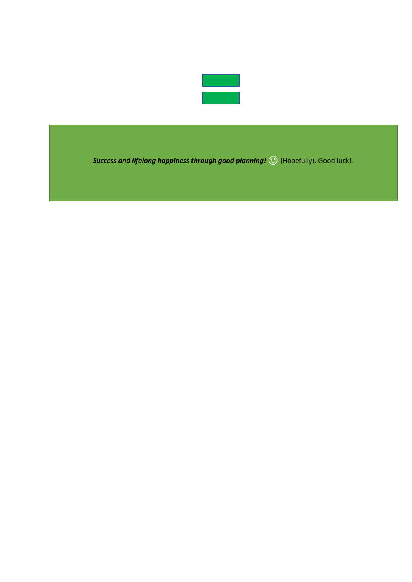

**Success and lifelong happiness through good planning!** ( $\odot$  (Hopefully). Good luck!!